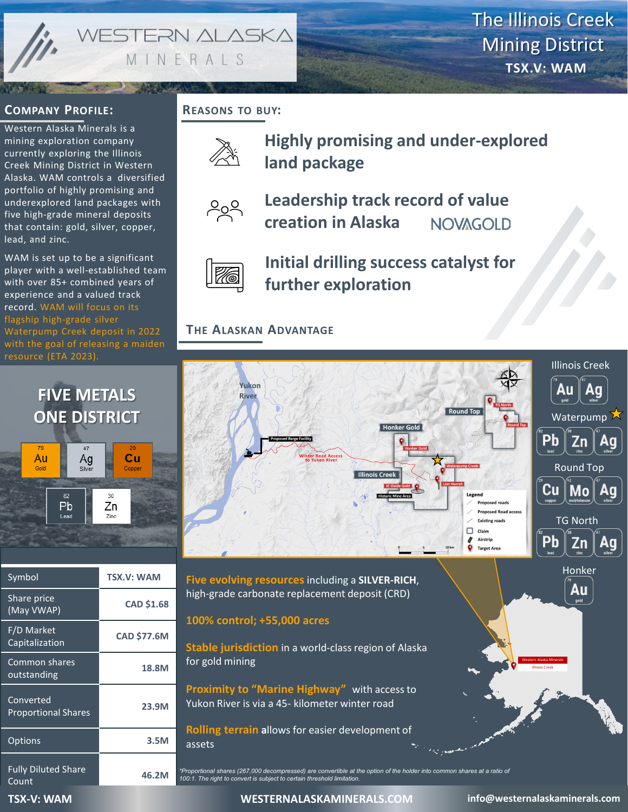WESTERN ALASKA MINERALS

The Illinois Creek Mining District **TSX.V: WAM**

## **COMPANY PROFILE:**

Western Alaska Minerals is a mining exploration company currently exploring the Illinois Creek Mining District in Western Alaska. WAM controls a diversified portfolio of highly promising and underexplored land packages with five high-grade mineral deposits that contain: gold, silver, copper, lead, and zinc.

WAM is set up to be a significant player with a well-established team with over 85+ combined years of experience and a valued track record. WAM will focus on its flagship high-grade silver Waterpump Creek deposit in 2022 with the goal of releasing a maiden resource (ETA 2023).

# **FIVE METALS ONE DISTRICT**



| Symbol                                  | <b>TSX.V: WAM</b>  |
|-----------------------------------------|--------------------|
| Share price<br>(May VWAP)               | <b>CAD \$1.68</b>  |
| F/D Market<br>Capitalization            | <b>CAD \$77.6M</b> |
| Common shares<br>outstanding            | 18.8M              |
| Converted<br><b>Proportional Shares</b> | 23.9M              |
| <b>Options</b>                          | 3.5M               |
| <b>Fully Diluted Share</b><br>Count     | 46.2M              |

# **REASONS TO BUY:**



**Highly promising and under-explored land package**



### **Leadership track record of value creation in Alaska NOVAGOLD**



**Initial drilling success catalyst for further exploration**

# **THE ALASKAN ADVANTAGE**



*\*Proportional shares (267,000 decompressed) are convertible at the option of the holder into common shares at a ratio of 100:1. The right to convert is subject to certain threshold limitation.*

**TSX-V: WAM -V: WAM -V: WESTERNALASKAMINERALS.COM -V: WAM -V: WAM -V: WAM -V: WAM** -V: WAMP -V: WAMP -V: WAMP -V: WAMP -V: WAMP -V: WAMP -V: WAMP -V: WAMP -V: WAMP -V: WAMP -V: WAMP -V: WAMP -V: WAMP -V: WAMP -